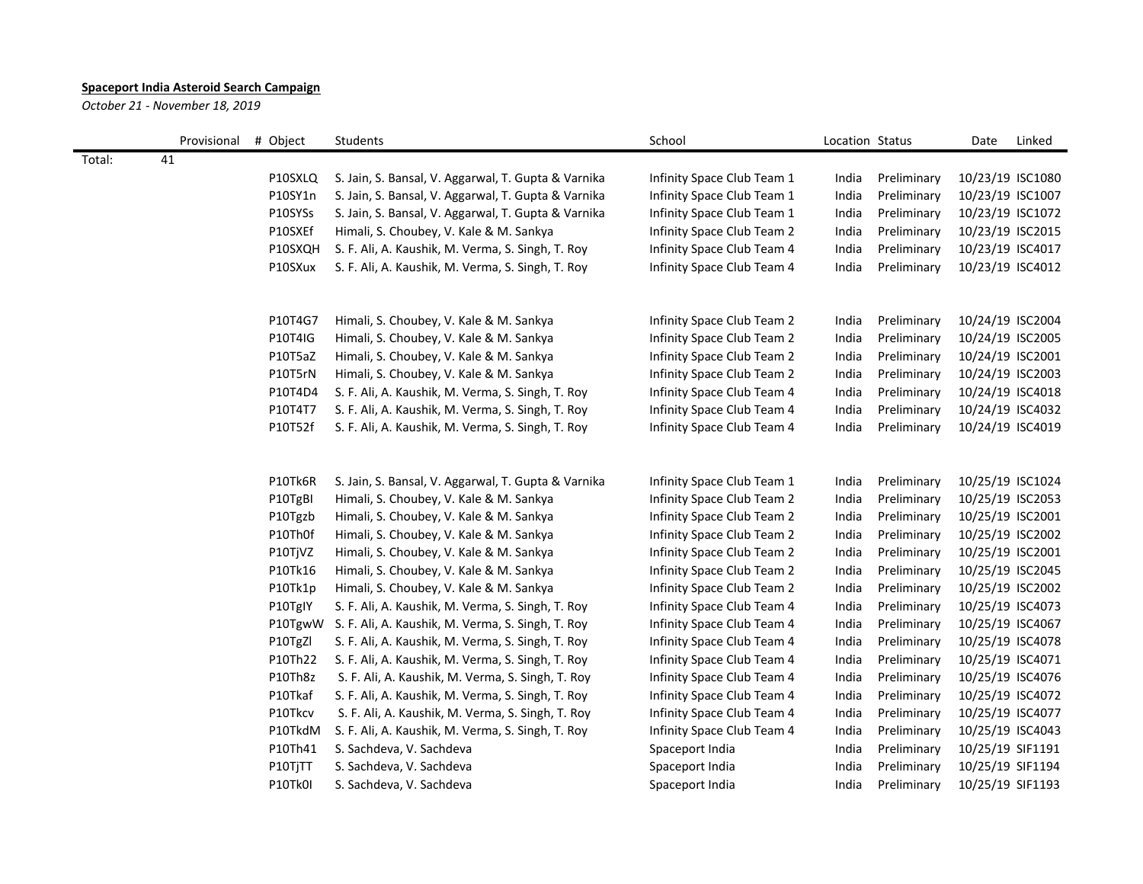## **Spaceport India Asteroid Search Campaign**

*October 21 - November 18, 2019*

|        | Provisional # Object |                | Students                                            | School                     | Location Status |             | Date             | Linked |
|--------|----------------------|----------------|-----------------------------------------------------|----------------------------|-----------------|-------------|------------------|--------|
| Total: | 41                   |                |                                                     |                            |                 |             |                  |        |
|        |                      | P10SXLQ        | S. Jain, S. Bansal, V. Aggarwal, T. Gupta & Varnika | Infinity Space Club Team 1 | India           | Preliminary | 10/23/19 ISC1080 |        |
|        |                      | P10SY1n        | S. Jain, S. Bansal, V. Aggarwal, T. Gupta & Varnika | Infinity Space Club Team 1 | India           | Preliminary | 10/23/19 ISC1007 |        |
|        |                      | P10SYSs        | S. Jain, S. Bansal, V. Aggarwal, T. Gupta & Varnika | Infinity Space Club Team 1 | India           | Preliminary | 10/23/19 ISC1072 |        |
|        |                      | P10SXEf        | Himali, S. Choubey, V. Kale & M. Sankya             | Infinity Space Club Team 2 | India           | Preliminary | 10/23/19 ISC2015 |        |
|        |                      | P10SXQH        | S. F. Ali, A. Kaushik, M. Verma, S. Singh, T. Roy   | Infinity Space Club Team 4 | India           | Preliminary | 10/23/19 ISC4017 |        |
|        |                      | P10SXux        | S. F. Ali, A. Kaushik, M. Verma, S. Singh, T. Roy   | Infinity Space Club Team 4 | India           | Preliminary | 10/23/19 ISC4012 |        |
|        |                      | P10T4G7        | Himali, S. Choubey, V. Kale & M. Sankya             | Infinity Space Club Team 2 | India           | Preliminary | 10/24/19 ISC2004 |        |
|        |                      | P10T4IG        | Himali, S. Choubey, V. Kale & M. Sankya             | Infinity Space Club Team 2 | India           | Preliminary | 10/24/19 ISC2005 |        |
|        |                      | P10T5aZ        | Himali, S. Choubey, V. Kale & M. Sankya             | Infinity Space Club Team 2 | India           | Preliminary | 10/24/19 ISC2001 |        |
|        |                      | P10T5rN        | Himali, S. Choubey, V. Kale & M. Sankya             | Infinity Space Club Team 2 | India           | Preliminary | 10/24/19 ISC2003 |        |
|        |                      | P10T4D4        | S. F. Ali, A. Kaushik, M. Verma, S. Singh, T. Roy   | Infinity Space Club Team 4 | India           | Preliminary | 10/24/19 ISC4018 |        |
|        |                      | P10T4T7        | S. F. Ali, A. Kaushik, M. Verma, S. Singh, T. Roy   | Infinity Space Club Team 4 | India           | Preliminary | 10/24/19 ISC4032 |        |
|        |                      | P10T52f        | S. F. Ali, A. Kaushik, M. Verma, S. Singh, T. Roy   | Infinity Space Club Team 4 | India           | Preliminary | 10/24/19 ISC4019 |        |
|        |                      | P10Tk6R        | S. Jain, S. Bansal, V. Aggarwal, T. Gupta & Varnika | Infinity Space Club Team 1 | India           | Preliminary | 10/25/19 ISC1024 |        |
|        |                      | P10TgBI        | Himali, S. Choubey, V. Kale & M. Sankya             | Infinity Space Club Team 2 | India           | Preliminary | 10/25/19 ISC2053 |        |
|        |                      | P10Tgzb        | Himali, S. Choubey, V. Kale & M. Sankya             | Infinity Space Club Team 2 | India           | Preliminary | 10/25/19 ISC2001 |        |
|        |                      | P10Th0f        | Himali, S. Choubey, V. Kale & M. Sankya             | Infinity Space Club Team 2 | India           | Preliminary | 10/25/19 ISC2002 |        |
|        |                      | P10TjVZ        | Himali, S. Choubey, V. Kale & M. Sankya             | Infinity Space Club Team 2 | India           | Preliminary | 10/25/19 ISC2001 |        |
|        |                      | P10Tk16        | Himali, S. Choubey, V. Kale & M. Sankya             | Infinity Space Club Team 2 | India           | Preliminary | 10/25/19 ISC2045 |        |
|        |                      | P10Tk1p        | Himali, S. Choubey, V. Kale & M. Sankya             | Infinity Space Club Team 2 | India           | Preliminary | 10/25/19 ISC2002 |        |
|        |                      | P10TgIY        | S. F. Ali, A. Kaushik, M. Verma, S. Singh, T. Roy   | Infinity Space Club Team 4 | India           | Preliminary | 10/25/19 ISC4073 |        |
|        |                      | P10TgwW        | S. F. Ali, A. Kaushik, M. Verma, S. Singh, T. Roy   | Infinity Space Club Team 4 | India           | Preliminary | 10/25/19 ISC4067 |        |
|        |                      | P10TgZl        | S. F. Ali, A. Kaushik, M. Verma, S. Singh, T. Roy   | Infinity Space Club Team 4 | India           | Preliminary | 10/25/19 ISC4078 |        |
|        |                      | P10Th22        | S. F. Ali, A. Kaushik, M. Verma, S. Singh, T. Roy   | Infinity Space Club Team 4 | India           | Preliminary | 10/25/19 ISC4071 |        |
|        |                      | P10Th8z        | S. F. Ali, A. Kaushik, M. Verma, S. Singh, T. Roy   | Infinity Space Club Team 4 | India           | Preliminary | 10/25/19 ISC4076 |        |
|        |                      | P10Tkaf        | S. F. Ali, A. Kaushik, M. Verma, S. Singh, T. Roy   | Infinity Space Club Team 4 | India           | Preliminary | 10/25/19 ISC4072 |        |
|        |                      | P10Tkcv        | S. F. Ali, A. Kaushik, M. Verma, S. Singh, T. Roy   | Infinity Space Club Team 4 | India           | Preliminary | 10/25/19 ISC4077 |        |
|        |                      | P10TkdM        | S. F. Ali, A. Kaushik, M. Verma, S. Singh, T. Roy   | Infinity Space Club Team 4 | India           | Preliminary | 10/25/19 ISC4043 |        |
|        |                      | P10Th41        | S. Sachdeva, V. Sachdeva                            | Spaceport India            | India           | Preliminary | 10/25/19 SIF1191 |        |
|        |                      | P10TjTT        | S. Sachdeva, V. Sachdeva                            | Spaceport India            | India           | Preliminary | 10/25/19 SIF1194 |        |
|        |                      | <b>P10Tk0I</b> | S. Sachdeva, V. Sachdeva                            | Spaceport India            | India           | Preliminary | 10/25/19 SIF1193 |        |